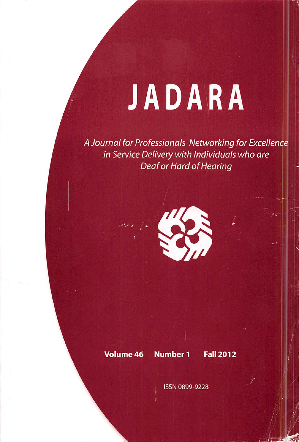## JADARA

A Journal for Professionals Networking for Excellence in Service Delivery with Individuals who are Deaf or Hard of Hearing



## Volume 46 Number 1 Fall 2012

ISSN 0899-9228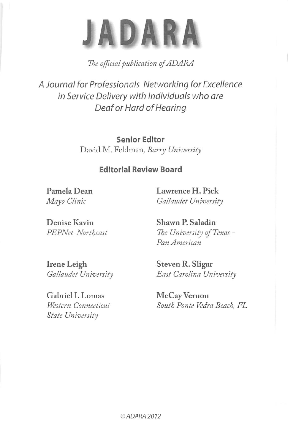

The official publication of ADARA

A Journal for Professionals Networking for Excellence in Service Delivery with Individuals who are Deaf or Hard of Hearing

> Senior Editor David M. Feldman, Barry University

## Editorial Review Board

Pamela Dean Lawrence H. Pick Mayo Clinic Gallaudet University

Denise Kavin Shawn P. Saladin

PEPNet-Northeast The University of Texas -Pan American

Irene Leigh Steven R. Sligar

Gabriel I. Lomas McCay Vernon State University

Gallaudet University East Carolina University

Western Connecticut South Ponte Vedra Beach, FL